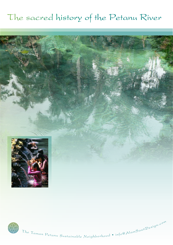## The sacred history of the Petanu River





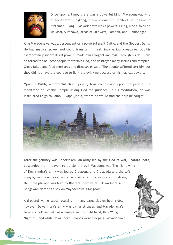

Once upon a time, there was a powerful king, Mayadenawa, who reigned from Blingkang, a few kilometers north of Batur Lake in Kintamani, Bangli. Mayadenawa was a powerful king, who also ruled Makasar, Sumbawa, areas of Sulawesi, Lombok, and Blambangan.

King Mayadenawa was a descendant of a powerful giant Daitya and the Goddess Danu. He had magical power and could transform himself into various creatures, but his extraordinary supernatural powers, made him arrogant and evil. Through his delusions he forbad the Balinese people to worship God, and destroyed many shrines and temples. Crops failed and food shortages and diseases ensued. The people suffered terribly, but they did not have the courage to fight the evil king because of his magical powers.

Mpu Kul Putih, a powerful Hindu priest, took compassion upon the people. He meditated at Besakih Temple asking God for guidance. In his meditation, he was instructed to go to Jambu Dwipa (India) where he would find the help he sought.



After the journey was undertaken, an army led by the God of War, Bhatara Indra, descended from heaven to battle the evil Mayadenawa. The right wing of Dewa Indra's army was led by Citrasena and Citragada and the left wing by Sangjayantaka, while Gandarwa led the supporting platoon, the main platoon was lead by Bhatara Indra hiself. Dewa Indra sent Bhagawan Narada to spy on Mayadenawa's Kingdom.

A dreadful war ensued, resulting in many casualties on both sides, however, Dewa Indra's army was by far stronger, and Mayadenawa's troops ran off and left Mayadenawa and his right hand, Kala Wong. Night fell and while Dewa Indra's troops were sleeping, Mayadenawa

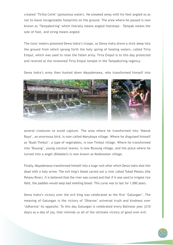created 'Tirtha Cetik' (poisonous water). He sneaked away with his feet angled so as not to leave recognizable footprints on the ground. The area where he passed is now known as 'Tampaksiring' which literally means angled footsteps - Tampak means the sole of foot, and siring means angled.

The toxic waters poisoned Dewa Indra's troops, so Dewa Indra drove a stick deep into the ground from which sprang forth the holy spring of healing waters, called Tirta Empul, which was used to raise the fallen army. Tirta Empul is to this day protected and revered at the renowned Tirta Empul temple in the Tampaksiring regency.

Dewa Indra's army then hunted down Mayadenawa, who transformed himself into



several creatures to avoid capture. The area where he transformed into 'Manuk Raya', an enormous bird, is now called Manukaya village. Where he disguised himself as 'Buah Timbul', a type of vegetables, is now Timbul village. Where he transformed into 'Busung', young coconut leaves, is now Blusung village, and the place where he turned into a angel (Bidadari) is now known as Kedewatan village.

Finally, Mayadenawa transformed himself into a huge rock after which Dewa Indra shot him dead with a holy arrow. The evil king's blood carved out a river called Tukad Petanu (the Petanu River). It is believed that the river was cursed and that if it was used to irrigate rice field, the paddies would seep bad smelling blood. This curse was to last for 1,000 years.

Dewa Indra's victory over the evil king was celebrated as the first 'Galungan'. The meaning of Galungan is the victory of 'Dharma' universal truth and kindness over 'Adharma' its opposite. To this day Galungan is celebrated every Balinese year (210 days) as a day of joy, that reminds us all of the ultimate victory of good over evil.

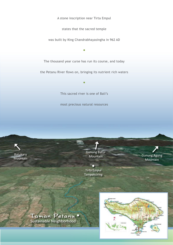A stone inscription near Tirta Empul

states that the sacred temple

was built by King Chandrabhayasingha in 962 AD

The thousand year curse has run its course, and today

•

the Petanu River flows on, bringing its nutrient rich waters

•

This sacred river is one of Bali's

most precious natural resources



Gunung Batur **Mountain** 

Tirta Empul Tampaksiring Gunung Agung Mountain

Taman Petanu Sustainable Neighborhood

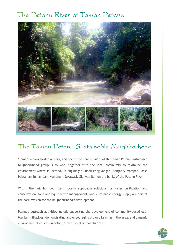## The Petanu River at Taman Petanu



## The Taman Petanu Sustainable Neighborhood

'Taman' means garden or park, and one of the core missions of the Taman Petanu Sustainable Neighbourhood group is to work together with the local community to revitalize the environment where is located, in lingkungan Subak Pengiyangan, Banjar Sumampan, Desa Pekraman Sumampan, Kemenuh, Sukawati, Gianyar, Bali on the banks of the Petanu River.

Within the neighborhood itself, locally applicable solutions for water purification and conservation, solid and liquid waste management, and sustainable energy supply are part of the core mission for the neighbourhood's development.

Planned outreach activities include supporting the development of community-based ecotourism initiatives, demonstrating and encouraging organic farming in the area, and dynamic environmental education activities with local school children.